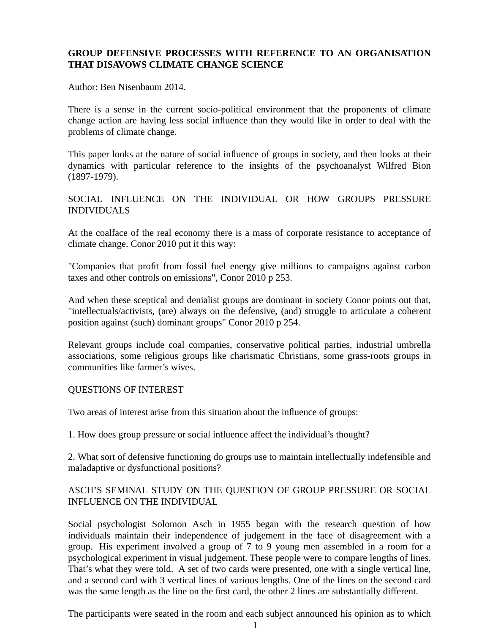# **GROUP DEFENSIVE PROCESSES WITH REFERENCE TO AN ORGANISATION THAT DISAVOWS CLIMATE CHANGE SCIENCE**

Author: Ben Nisenbaum 2014.

There is a sense in the current socio-political environment that the proponents of climate change action are having less social influence than they would like in order to deal with the problems of climate change.

This paper looks at the nature of social influence of groups in society, and then looks at their dynamics with particular reference to the insights of the psychoanalyst Wilfred Bion (1897-1979).

## SOCIAL INFLUENCE ON THE INDIVIDUAL OR HOW GROUPS PRESSURE INDIVIDUALS

At the coalface of the real economy there is a mass of corporate resistance to acceptance of climate change. Conor 2010 put it this way:

"Companies that profit from fossil fuel energy give millions to campaigns against carbon taxes and other controls on emissions", Conor 2010 p 253.

And when these sceptical and denialist groups are dominant in society Conor points out that, "intellectuals/activists, (are) always on the defensive, (and) struggle to articulate a coherent position against (such) dominant groups" Conor 2010 p 254.

Relevant groups include coal companies, conservative political parties, industrial umbrella associations, some religious groups like charismatic Christians, some grass-roots groups in communities like farmer's wives.

#### QUESTIONS OF INTEREST

Two areas of interest arise from this situation about the influence of groups:

1. How does group pressure or social influence affect the individual's thought?

2. What sort of defensive functioning do groups use to maintain intellectually indefensible and maladaptive or dysfunctional positions?

## ASCH'S SEMINAL STUDY ON THE QUESTION OF GROUP PRESSURE OR SOCIAL INFLUENCE ON THE INDIVIDUAL

Social psychologist Solomon Asch in 1955 began with the research question of how individuals maintain their independence of judgement in the face of disagreement with a group. His experiment involved a group of 7 to 9 young men assembled in a room for a psychological experiment in visual judgement. These people were to compare lengths of lines. That's what they were told. A set of two cards were presented, one with a single vertical line, and a second card with 3 vertical lines of various lengths. One of the lines on the second card was the same length as the line on the first card, the other 2 lines are substantially different.

The participants were seated in the room and each subject announced his opinion as to which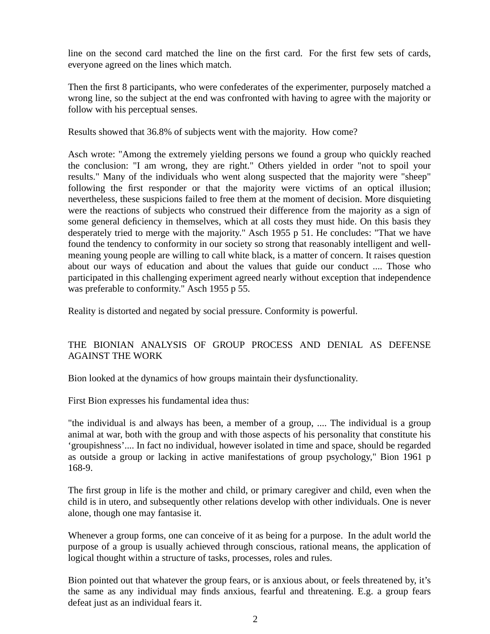line on the second card matched the line on the first card. For the first few sets of cards, everyone agreed on the lines which match.

Then the first 8 participants, who were confederates of the experimenter, purposely matched a wrong line, so the subject at the end was confronted with having to agree with the majority or follow with his perceptual senses.

Results showed that 36.8% of subjects went with the majority. How come?

Asch wrote: "Among the extremely yielding persons we found a group who quickly reached the conclusion: "I am wrong, they are right." Others yielded in order "not to spoil your results." Many of the individuals who went along suspected that the majority were "sheep" following the first responder or that the majority were victims of an optical illusion; nevertheless, these suspicions failed to free them at the moment of decision. More disquieting were the reactions of subjects who construed their difference from the majority as a sign of some general deficiency in themselves, which at all costs they must hide. On this basis they desperately tried to merge with the majority." Asch 1955 p 51. He concludes: "That we have found the tendency to conformity in our society so strong that reasonably intelligent and wellmeaning young people are willing to call white black, is a matter of concern. It raises question about our ways of education and about the values that guide our conduct .... Those who participated in this challenging experiment agreed nearly without exception that independence was preferable to conformity." Asch 1955 p 55.

Reality is distorted and negated by social pressure. Conformity is powerful.

## THE BIONIAN ANALYSIS OF GROUP PROCESS AND DENIAL AS DEFENSE AGAINST THE WORK

Bion looked at the dynamics of how groups maintain their dysfunctionality.

First Bion expresses his fundamental idea thus:

"the individual is and always has been, a member of a group, .... The individual is a group animal at war, both with the group and with those aspects of his personality that constitute his 'groupishness'.... In fact no individual, however isolated in time and space, should be regarded as outside a group or lacking in active manifestations of group psychology," Bion 1961 p 168-9.

The first group in life is the mother and child, or primary caregiver and child, even when the child is in utero, and subsequently other relations develop with other individuals. One is never alone, though one may fantasise it.

Whenever a group forms, one can conceive of it as being for a purpose. In the adult world the purpose of a group is usually achieved through conscious, rational means, the application of logical thought within a structure of tasks, processes, roles and rules.

Bion pointed out that whatever the group fears, or is anxious about, or feels threatened by, it's the same as any individual may finds anxious, fearful and threatening. E.g. a group fears defeat just as an individual fears it.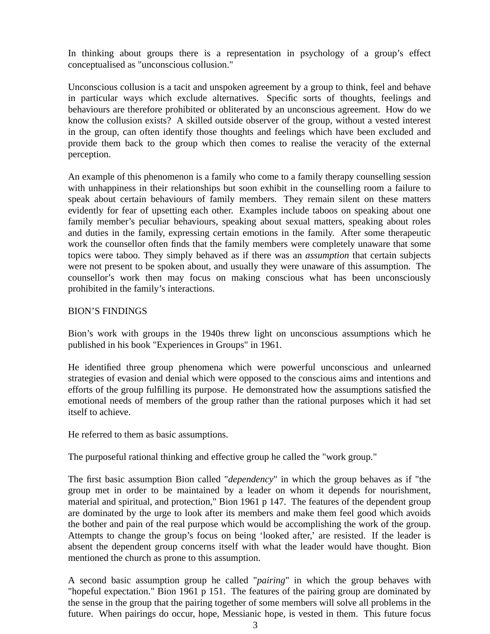In thinking about groups there is a representation in psychology of a group's effect conceptualised as "unconscious collusion."

Unconscious collusion is a tacit and unspoken agreement by a group to think, feel and behave in particular ways which exclude alternatives. Specific sorts of thoughts, feelings and behaviours are therefore prohibited or obliterated by an unconscious agreement. How do we know the collusion exists? A skilled outside observer of the group, without a vested interest in the group, can often identify those thoughts and feelings which have been excluded and provide them back to the group which then comes to realise the veracity of the external perception.

An example of this phenomenon is a family who come to a family therapy counselling session with unhappiness in their relationships but soon exhibit in the counselling room a failure to speak about certain behaviours of family members. They remain silent on these matters evidently for fear of upsetting each other. Examples include taboos on speaking about one family member's peculiar behaviours, speaking about sexual matters, speaking about roles and duties in the family, expressing certain emotions in the family. After some therapeutic work the counsellor often finds that the family members were completely unaware that some topics were taboo. They simply behaved as if there was an *assumption* that certain subjects were not present to be spoken about, and usually they were unaware of this assumption. The counsellor's work then may focus on making conscious what has been unconsciously prohibited in the family's interactions.

#### BION'S FINDINGS

Bion's work with groups in the 1940s threw light on unconscious assumptions which he published in his book "Experiences in Groups" in 1961.

He identified three group phenomena which were powerful unconscious and unlearned strategies of evasion and denial which were opposed to the conscious aims and intentions and efforts of the group fulfilling its purpose. He demonstrated how the assumptions satisfied the emotional needs of members of the group rather than the rational purposes which it had set itself to achieve.

He referred to them as basic assumptions.

The purposeful rational thinking and effective group he called the "work group."

The first basic assumption Bion called "*dependency*" in which the group behaves as if "the group met in order to be maintained by a leader on whom it depends for nourishment, material and spiritual, and protection," Bion 1961 p 147. The features of the dependent group are dominated by the urge to look after its members and make them feel good which avoids the bother and pain of the real purpose which would be accomplishing the work of the group. Attempts to change the group's focus on being 'looked after,' are resisted. If the leader is absent the dependent group concerns itself with what the leader would have thought. Bion mentioned the church as prone to this assumption.

A second basic assumption group he called "*pairing*" in which the group behaves with "hopeful expectation." Bion 1961 p 151. The features of the pairing group are dominated by the sense in the group that the pairing together of some members will solve all problems in the future. When pairings do occur, hope, Messianic hope, is vested in them. This future focus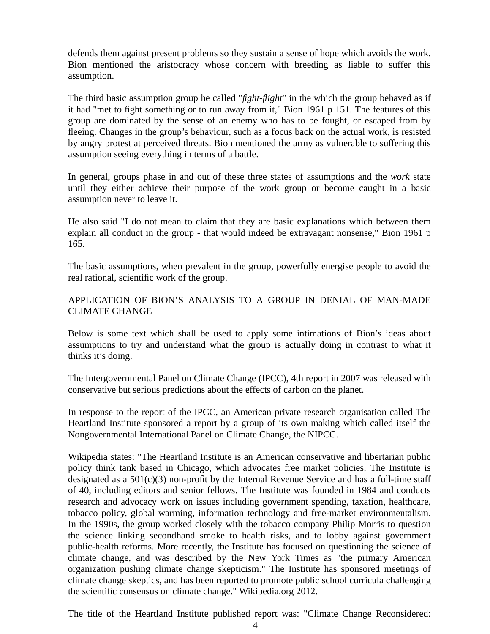defends them against present problems so they sustain a sense of hope which avoids the work. Bion mentioned the aristocracy whose concern with breeding as liable to suffer this assumption.

The third basic assumption group he called "*fight-flight*" in the which the group behaved as if it had "met to fight something or to run away from it," Bion 1961 p 151. The features of this group are dominated by the sense of an enemy who has to be fought, or escaped from by fleeing. Changes in the group's behaviour, such as a focus back on the actual work, is resisted by angry protest at perceived threats. Bion mentioned the army as vulnerable to suffering this assumption seeing everything in terms of a battle.

In general, groups phase in and out of these three states of assumptions and the *work* state until they either achieve their purpose of the work group or become caught in a basic assumption never to leave it.

He also said "I do not mean to claim that they are basic explanations which between them explain all conduct in the group - that would indeed be extravagant nonsense," Bion 1961 p 165.

The basic assumptions, when prevalent in the group, powerfully energise people to avoid the real rational, scientific work of the group.

# APPLICATION OF BION'S ANALYSIS TO A GROUP IN DENIAL OF MAN-MADE CLIMATE CHANGE

Below is some text which shall be used to apply some intimations of Bion's ideas about assumptions to try and understand what the group is actually doing in contrast to what it thinks it's doing.

The Intergovernmental Panel on Climate Change (IPCC), 4th report in 2007 was released with conservative but serious predictions about the effects of carbon on the planet.

In response to the report of the IPCC, an American private research organisation called The Heartland Institute sponsored a report by a group of its own making which called itself the Nongovernmental International Panel on Climate Change, the NIPCC.

Wikipedia states: "The Heartland Institute is an American conservative and libertarian public policy think tank based in Chicago, which advocates free market policies. The Institute is designated as a 501(c)(3) non-profit by the Internal Revenue Service and has a full-time staff of 40, including editors and senior fellows. The Institute was founded in 1984 and conducts research and advocacy work on issues including government spending, taxation, healthcare, tobacco policy, global warming, information technology and free-market environmentalism. In the 1990s, the group worked closely with the tobacco company Philip Morris to question the science linking secondhand smoke to health risks, and to lobby against government public-health reforms. More recently, the Institute has focused on questioning the science of climate change, and was described by the New York Times as "the primary American organization pushing climate change skepticism." The Institute has sponsored meetings of climate change skeptics, and has been reported to promote public school curricula challenging the scientific consensus on climate change." Wikipedia.org 2012.

The title of the Heartland Institute published report was: "Climate Change Reconsidered: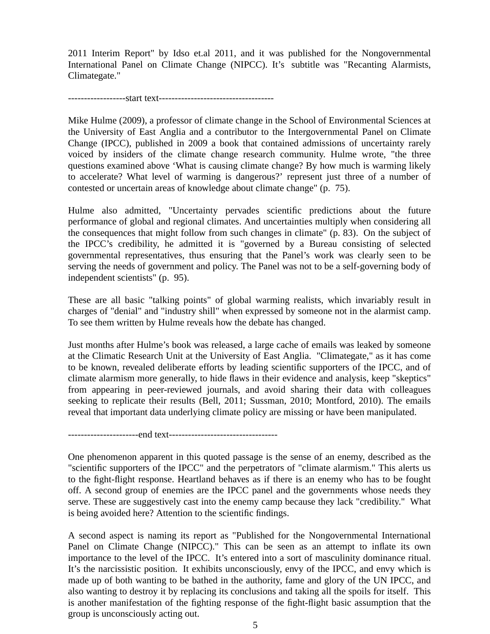2011 Interim Report" by Idso et.al 2011, and it was published for the Nongovernmental International Panel on Climate Change (NIPCC). It's subtitle was "Recanting Alarmists, Climategate."

------------------start text------------------------------------

Mike Hulme (2009), a professor of climate change in the School of Environmental Sciences at the University of East Anglia and a contributor to the Intergovernmental Panel on Climate Change (IPCC), published in 2009 a book that contained admissions of uncertainty rarely voiced by insiders of the climate change research community. Hulme wrote, "the three questions examined above 'What is causing climate change? By how much is warming likely to accelerate? What level of warming is dangerous?' represent just three of a number of contested or uncertain areas of knowledge about climate change" (p. 75).

Hulme also admitted, "Uncertainty pervades scientific predictions about the future performance of global and regional climates. And uncertainties multiply when considering all the consequences that might follow from such changes in climate" (p. 83). On the subject of the IPCC's credibility, he admitted it is "governed by a Bureau consisting of selected governmental representatives, thus ensuring that the Panel's work was clearly seen to be serving the needs of government and policy. The Panel was not to be a self-governing body of independent scientists" (p. 95).

These are all basic "talking points" of global warming realists, which invariably result in charges of "denial" and "industry shill" when expressed by someone not in the alarmist camp. To see them written by Hulme reveals how the debate has changed.

Just months after Hulme's book was released, a large cache of emails was leaked by someone at the Climatic Research Unit at the University of East Anglia. "Climategate," as it has come to be known, revealed deliberate efforts by leading scientific supporters of the IPCC, and of climate alarmism more generally, to hide flaws in their evidence and analysis, keep "skeptics" from appearing in peer-reviewed journals, and avoid sharing their data with colleagues seeking to replicate their results (Bell, 2011; Sussman, 2010; Montford, 2010). The emails reveal that important data underlying climate policy are missing or have been manipulated.

----------------------end text----------------------------------

One phenomenon apparent in this quoted passage is the sense of an enemy, described as the "scientific supporters of the IPCC" and the perpetrators of "climate alarmism." This alerts us to the fight-flight response. Heartland behaves as if there is an enemy who has to be fought off. A second group of enemies are the IPCC panel and the governments whose needs they serve. These are suggestively cast into the enemy camp because they lack "credibility." What is being avoided here? Attention to the scientific findings.

A second aspect is naming its report as "Published for the Nongovernmental International Panel on Climate Change (NIPCC)." This can be seen as an attempt to inflate its own importance to the level of the IPCC. It's entered into a sort of masculinity dominance ritual. It's the narcissistic position. It exhibits unconsciously, envy of the IPCC, and envy which is made up of both wanting to be bathed in the authority, fame and glory of the UN IPCC, and also wanting to destroy it by replacing its conclusions and taking all the spoils for itself. This is another manifestation of the fighting response of the fight-flight basic assumption that the group is unconsciously acting out.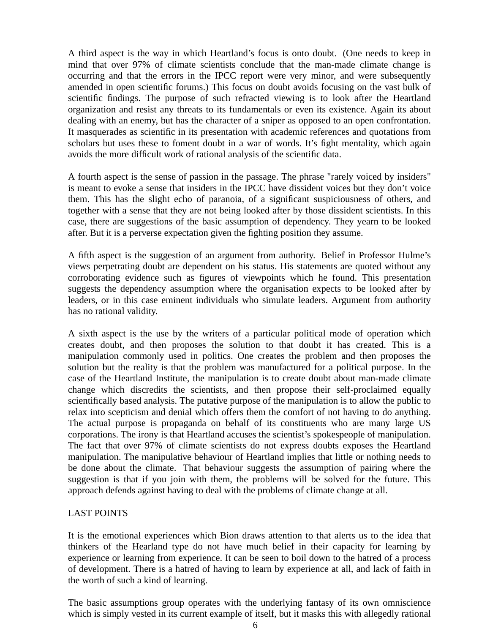A third aspect is the way in which Heartland's focus is onto doubt. (One needs to keep in mind that over 97% of climate scientists conclude that the man-made climate change is occurring and that the errors in the IPCC report were very minor, and were subsequently amended in open scientific forums.) This focus on doubt avoids focusing on the vast bulk of scientific findings. The purpose of such refracted viewing is to look after the Heartland organization and resist any threats to its fundamentals or even its existence. Again its about dealing with an enemy, but has the character of a sniper as opposed to an open confrontation. It masquerades as scientific in its presentation with academic references and quotations from scholars but uses these to foment doubt in a war of words. It's fight mentality, which again avoids the more difficult work of rational analysis of the scientific data.

A fourth aspect is the sense of passion in the passage. The phrase "rarely voiced by insiders" is meant to evoke a sense that insiders in the IPCC have dissident voices but they don't voice them. This has the slight echo of paranoia, of a significant suspiciousness of others, and together with a sense that they are not being looked after by those dissident scientists. In this case, there are suggestions of the basic assumption of dependency. They yearn to be looked after. But it is a perverse expectation given the fighting position they assume.

A fifth aspect is the suggestion of an argument from authority. Belief in Professor Hulme's views perpetrating doubt are dependent on his status. His statements are quoted without any corroborating evidence such as figures of viewpoints which he found. This presentation suggests the dependency assumption where the organisation expects to be looked after by leaders, or in this case eminent individuals who simulate leaders. Argument from authority has no rational validity.

A sixth aspect is the use by the writers of a particular political mode of operation which creates doubt, and then proposes the solution to that doubt it has created. This is a manipulation commonly used in politics. One creates the problem and then proposes the solution but the reality is that the problem was manufactured for a political purpose. In the case of the Heartland Institute, the manipulation is to create doubt about man-made climate change which discredits the scientists, and then propose their self-proclaimed equally scientifically based analysis. The putative purpose of the manipulation is to allow the public to relax into scepticism and denial which offers them the comfort of not having to do anything. The actual purpose is propaganda on behalf of its constituents who are many large US corporations. The irony is that Heartland accuses the scientist's spokespeople of manipulation. The fact that over 97% of climate scientists do not express doubts exposes the Heartland manipulation. The manipulative behaviour of Heartland implies that little or nothing needs to be done about the climate. That behaviour suggests the assumption of pairing where the suggestion is that if you join with them, the problems will be solved for the future. This approach defends against having to deal with the problems of climate change at all.

#### LAST POINTS

It is the emotional experiences which Bion draws attention to that alerts us to the idea that thinkers of the Hearland type do not have much belief in their capacity for learning by experience or learning from experience. It can be seen to boil down to the hatred of a process of development. There is a hatred of having to learn by experience at all, and lack of faith in the worth of such a kind of learning.

The basic assumptions group operates with the underlying fantasy of its own omniscience which is simply vested in its current example of itself, but it masks this with allegedly rational